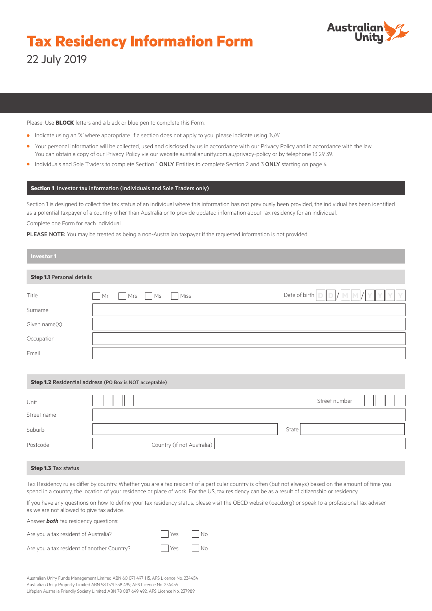# **Tax Residency Information Form** 22 July 2019



Please: Use **BLOCK** letters and a black or blue pen to complete this Form.

- **•** Indicate using an 'X' where appropriate. If a section does not apply to you, please indicate using 'N/A'.
- **•** Your personal information will be collected, used and disclosed by us in accordance with our Privacy Policy and in accordance with the law. You can obtain a copy of our Privacy Policy via our website australianunity.com.au/privacy-policy or by telephone 13 29 39.
- **•** Individuals and Sole Traders to complete Section 1 ONLY. Entities to complete Section 2 and 3 ONLY starting on page 4.

# **Section 1** Investor tax information (Individuals and Sole Traders only)

Section 1 is designed to collect the tax status of an individual where this information has not previously been provided, the individual has been identified as a potential taxpayer of a country other than Australia or to provide updated information about tax residency for an individual. Complete one Form for each individual.

PLEASE NOTE: You may be treated as being a non-Australian taxpayer if the requested information is not provided.

| <b>Investor 1</b>                |                      |                                            |
|----------------------------------|----------------------|--------------------------------------------|
| <b>Step 1.1 Personal details</b> |                      |                                            |
| Title                            | Miss<br>Mr<br>Mrs Ms | Date of birth $\Box$<br>$1$ M $\mathbb{M}$ |
| Surname                          |                      |                                            |
| Given name(s)                    |                      |                                            |
| Occupation                       |                      |                                            |
| Email                            |                      |                                            |

## **Step 1.2** Residential address (PO Box is NOT acceptable)

| Unit        |                            |       | Street number |
|-------------|----------------------------|-------|---------------|
| Street name |                            |       |               |
| Suburb      |                            | State |               |
| Postcode    | Country (if not Australia) |       |               |

## **Step 1.3** Tax status

Tax Residency rules differ by country. Whether you are a tax resident of a particular country is often (but not always) based on the amount of time you spend in a country, the location of your residence or place of work. For the US, tax residency can be as a result of citizenship or residency.

If you have any questions on how to define your tax residency status, please visit th[e OECD website](http://www.oecd.org/) (oecd.org) or speak to a professional tax adviser as we are not allowed to give tax advice.

Answer *both* tax residency questions:

| Are vou a tax resident of Australia? | l Yes | No |
|--------------------------------------|-------|----|
|                                      |       |    |

Are you a tax resident of another Country?

| 'es | No |
|-----|----|
| Ά   | No |

Australian Unity Funds Management Limited ABN 60 071 497 115, AFS Licence No. 234454 Australian Unity Property Limited ABN 58 079 538 499, AFS Licence No. 234455 Lifeplan Australia Friendly Society Limited ABN 78 087 649 492, AFS Licence No. 237989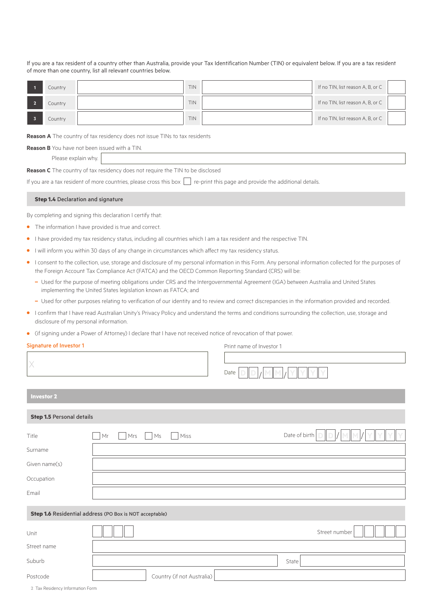If you are a tax resident of a country other than Australia, provide your Tax Identification Number (TIN) or equivalent below. If you are a tax resident of more than one country, list all relevant countries below.

| Country | TIN | If no TIN, list reason A, B, or C |
|---------|-----|-----------------------------------|
| Country | TIN | If no TIN, list reason A, B, or C |
| Country | TIN | If no TIN, list reason A, B, or C |

**Reason A** The country of tax residency does not issue TINs to tax residents

**Reason B** You have not been issued with a TIN.

Please explain why.

**Reason C** The country of tax residency does not require the TIN to be disclosed

If you are a tax resident of more countries, please cross this box  $\Box$  re-print this page and provide the additional details.

#### **Step 1.4 Declaration and signature**

By completing and signing this declaration I certify that:

- **•** The information I have provided is true and correct.
- **•** I have provided my tax residency status, including all countries which I am a tax resident and the respective TIN.
- **•** I will inform you within 30 days of any change in circumstances which affect my tax residency status.
- **•** I consent to the collection, use, storage and disclosure of my personal information in this Form. Any personal information collected for the purposes of the Foreign Account Tax Compliance Act (FATCA) and the OECD Common Reporting Standard (CRS) will be:
	- **–** Used for the purpose of meeting obligations under CRS and the Intergovernmental Agreement (IGA) between Australia and United States implementing the United States legislation known as FATCA; and
	- **–** Used for other purposes relating to verification of our identity and to review and correct discrepancies in the information provided and recorded.
- **•** I confirm that I have read Australian Unity's Privacy Policy and understand the terms and conditions surrounding the collection, use, storage and disclosure of my personal information.
- **•** (if signing under a Power of Attorney) I declare that I have not received notice of revocation of that power.

# Signature of Investor 1

Print name of Investor 1

| X                         |                                                         | Date<br>v     |
|---------------------------|---------------------------------------------------------|---------------|
| <b>Investor 2</b>         |                                                         |               |
| Step 1.5 Personal details |                                                         |               |
| Title                     | Mrs<br>Miss<br>Mr<br>Ms                                 | Date of birth |
| Surname                   |                                                         |               |
| Given name(s)             |                                                         |               |
| Occupation                |                                                         |               |
| Email                     |                                                         |               |
|                           | Step 1.6 Residential address (PO Box is NOT acceptable) |               |
| Unit                      |                                                         | Street number |
| Street name               |                                                         |               |
| Suburb                    |                                                         | State         |
| Postcode                  | Country (if not Australia)                              |               |

**2** Tax Residency Information Form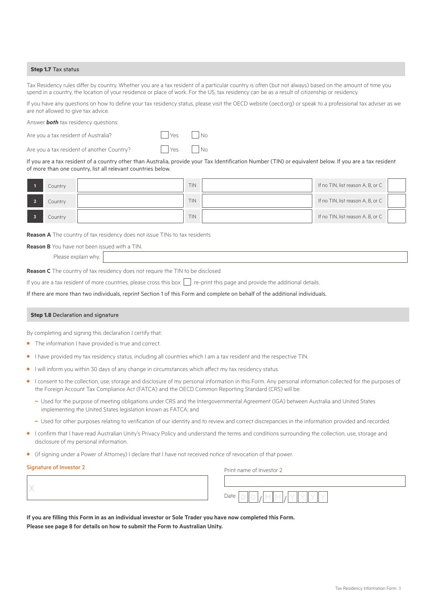## **Step 1.7** Tax status

Tax Residency rules differ by country. Whether you are a tax resident of a particular country is often (but not always) based on the amount of time you spend in a country, the location of your residence or place of work. For the US, tax residency can be as a result of citizenship or residency.

If you have any questions on how to define your tax residency status, please visit the [OECD website \(oecd.org\) o](http://www.oecd.org/)r speak to a professional tax adviser as we are not allowed to give tax advice.

Answer *both* tax residency questions:

Are you a tax resident of Australia?  $\Box$  Yes  $\Box$  No

Are you a tax resident of another Country?  $\Box$  Yes  $\Box$  No

If you are a tax resident of a country other than Australia, provide your Tax Identification Number (TIN) or equivalent below. If you are a tax resident of more than one country, list all relevant countries below.

| Country | TIN        | If no TIN, list reason A, B, or C |
|---------|------------|-----------------------------------|
| Country | <b>TIN</b> | If no TIN, list reason A, B, or C |
| Country | TIN        | If no TIN, list reason A, B, or C |

**Reason A** The country of tax residency does not issue TINs to tax residents

**Reason B** You have not been issued with a TIN.

Please explain why.

**Reason C** The country of tax residency does not require the TIN to be disclosed

If you are a tax resident of more countries, please cross this box  $\Box$  re-print this page and provide the additional details.

If there are more than two individuals, reprint Section 1 of this Form and complete on behalf of the additional individuals.

## **Step 1.8** Declaration and signature

By completing and signing this declaration I certify that:

- **•** The information I have provided is true and correct.
- **•** I have provided my tax residency status, including all countries which I am a tax resident and the respective TIN.
- **•** I will inform you within 30 days of any change in circumstances which affect my tax residency status.
- **•** I consent to the collection, use, storage and disclosure of my personal information in this Form. Any personal information collected for the purposes of the Foreign Account Tax Compliance Act (FATCA) and the OECD Common Reporting Standard (CRS) will be:
	- **–** Used for the purpose of meeting obligations under CRS and the Intergovernmental Agreement (IGA) between Australia and United States implementing the United States legislation known as FATCA; and
	- **–** Used for other purposes relating to verification of our identity and to review and correct discrepancies in the information provided and recorded.
- **•** I confirm that I have read Australian Unity's Privacy Policy and understand the terms and conditions surrounding the collection, use, storage and disclosure of my personal information.
- **•** (if signing under a Power of Attorney) I declare that I have not received notice of revocation of that power.

#### Signature of Investor 2

Print name of Investor 2

| Date |
|------|

**If you are filling this Form in as an individual investor or Sole Trader you have now completed this Form. Please see page 8 for details on how to submit the Form to Australian Unity.**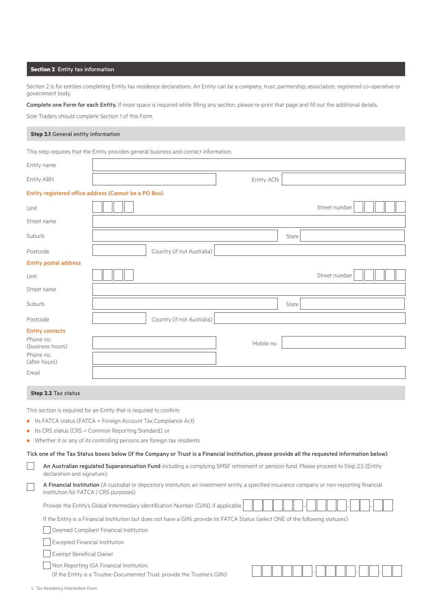# **Section 2** Entity tax information

Section 2 is for entities completing Entity tax residence declarations. An Entity can be a company, trust, partnership, association, registered co-operative or government body.

Complete one Form for each Entity. If more space is required while filling any section, please re-print that page and fill out the additional details.

Sole Traders should complete Section 1 of this Form.

## **Step 2.1** General entity information

This step requires that the Entity provides general business and contact information.

| Entity name                                                         |                                        |  |                                                                                                                                    |            |       |                                                                                                                                                 |  |
|---------------------------------------------------------------------|----------------------------------------|--|------------------------------------------------------------------------------------------------------------------------------------|------------|-------|-------------------------------------------------------------------------------------------------------------------------------------------------|--|
| Entity ABN                                                          |                                        |  |                                                                                                                                    | Entity ACN |       |                                                                                                                                                 |  |
| Entity registered office address (Cannot be a PO Box)               |                                        |  |                                                                                                                                    |            |       |                                                                                                                                                 |  |
| Unit                                                                |                                        |  |                                                                                                                                    |            |       | Street number                                                                                                                                   |  |
| Street name                                                         |                                        |  |                                                                                                                                    |            |       |                                                                                                                                                 |  |
| Suburb                                                              |                                        |  |                                                                                                                                    |            | State |                                                                                                                                                 |  |
| Postcode                                                            |                                        |  | Country (if not Australia)                                                                                                         |            |       |                                                                                                                                                 |  |
| <b>Entity postal address</b>                                        |                                        |  |                                                                                                                                    |            |       |                                                                                                                                                 |  |
| Unit                                                                |                                        |  |                                                                                                                                    |            |       | Street number                                                                                                                                   |  |
| Street name                                                         |                                        |  |                                                                                                                                    |            |       |                                                                                                                                                 |  |
| Suburb                                                              |                                        |  |                                                                                                                                    |            | State |                                                                                                                                                 |  |
| Postcode                                                            |                                        |  | Country (if not Australia)                                                                                                         |            |       |                                                                                                                                                 |  |
| <b>Entity contacts</b>                                              |                                        |  |                                                                                                                                    |            |       |                                                                                                                                                 |  |
| Phone no.                                                           |                                        |  |                                                                                                                                    | Mobile no. |       |                                                                                                                                                 |  |
| (business hours)                                                    |                                        |  |                                                                                                                                    |            |       |                                                                                                                                                 |  |
| Phone no.<br>(after hours)                                          |                                        |  |                                                                                                                                    |            |       |                                                                                                                                                 |  |
| Email                                                               |                                        |  |                                                                                                                                    |            |       |                                                                                                                                                 |  |
|                                                                     |                                        |  |                                                                                                                                    |            |       |                                                                                                                                                 |  |
| <b>Step 2.2 Tax status</b>                                          |                                        |  |                                                                                                                                    |            |       |                                                                                                                                                 |  |
| This section is required for an Entity that is required to confirm: |                                        |  |                                                                                                                                    |            |       |                                                                                                                                                 |  |
|                                                                     |                                        |  | • Its FATCA status (FATCA = Foreign Account Tax Compliance Act)                                                                    |            |       |                                                                                                                                                 |  |
| • Its CRS status (CRS = Common Reporting Standard), or              |                                        |  |                                                                                                                                    |            |       |                                                                                                                                                 |  |
|                                                                     |                                        |  | • Whether it or any of its controlling persons are foreign tax residents                                                           |            |       |                                                                                                                                                 |  |
|                                                                     |                                        |  |                                                                                                                                    |            |       |                                                                                                                                                 |  |
|                                                                     |                                        |  |                                                                                                                                    |            |       | Tick one of the Tax Status boxes below (if the Company or Trust is a Financial Institution, please provide all the requested information below) |  |
|                                                                     | declaration and signature).            |  |                                                                                                                                    |            |       | An Australian regulated Superannuation Fund including a complying SMSF retirement or pension fund. Please proceed to Step 2.5 (Entity           |  |
|                                                                     | institution for FATCA / CRS purposes)  |  |                                                                                                                                    |            |       | A Financial Institution (A custodial or depository institution, an investment entity, a specified insurance company or non-reporting financial  |  |
|                                                                     |                                        |  | Provide the Entity's Global Intermediary Identification Number (GIIN), if applicable                                               |            |       |                                                                                                                                                 |  |
|                                                                     |                                        |  | If the Entity is a Financial Institution but does not have a GIIN, provide its FATCA Status (select ONE of the following statuses) |            |       |                                                                                                                                                 |  |
|                                                                     | Deemed Compliant Financial Institution |  |                                                                                                                                    |            |       |                                                                                                                                                 |  |
|                                                                     | <b>Excepted Financial Institution</b>  |  |                                                                                                                                    |            |       |                                                                                                                                                 |  |
|                                                                     | Exempt Beneficial Owner                |  |                                                                                                                                    |            |       |                                                                                                                                                 |  |

Non Reporting IGA Financial Institution.

(If the Entity is a Trustee-Documented Trust, provide the Trustee's GIIN)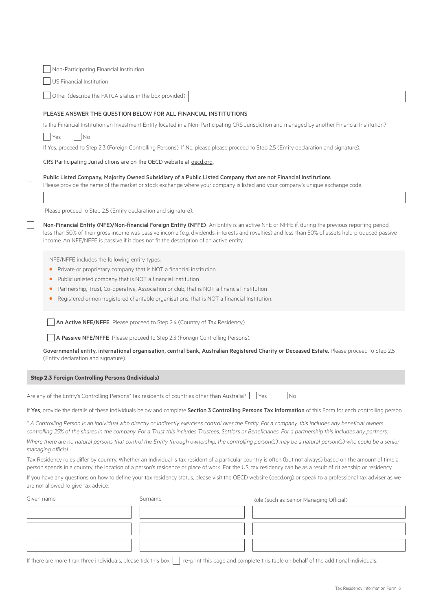|            | Non-Participating Financial Institution                                                                                                  |                                                                                                                                                                                                                                                                 |                                                                                                                                                                                                                                                                                                                              |
|------------|------------------------------------------------------------------------------------------------------------------------------------------|-----------------------------------------------------------------------------------------------------------------------------------------------------------------------------------------------------------------------------------------------------------------|------------------------------------------------------------------------------------------------------------------------------------------------------------------------------------------------------------------------------------------------------------------------------------------------------------------------------|
|            | US Financial Institution                                                                                                                 |                                                                                                                                                                                                                                                                 |                                                                                                                                                                                                                                                                                                                              |
|            | Other (describe the FATCA status in the box provided)                                                                                    |                                                                                                                                                                                                                                                                 |                                                                                                                                                                                                                                                                                                                              |
|            |                                                                                                                                          | PLEASE ANSWER THE QUESTION BELOW FOR ALL FINANCIAL INSTITUTIONS                                                                                                                                                                                                 |                                                                                                                                                                                                                                                                                                                              |
|            |                                                                                                                                          |                                                                                                                                                                                                                                                                 | Is the Financial Institution an Investment Entity located in a Non-Participating CRS Jurisdiction and managed by another Financial Institution?                                                                                                                                                                              |
|            | No<br>Yes                                                                                                                                |                                                                                                                                                                                                                                                                 |                                                                                                                                                                                                                                                                                                                              |
|            |                                                                                                                                          |                                                                                                                                                                                                                                                                 | If Yes, proceed to Step 2.3 (Foreign Controlling Persons). If No, please please proceed to Step 2.5 (Entity declaration and signature).                                                                                                                                                                                      |
|            | CRS Participating Jurisdictions are on the OECD website at oecd.org.                                                                     |                                                                                                                                                                                                                                                                 |                                                                                                                                                                                                                                                                                                                              |
|            |                                                                                                                                          | Public Listed Company, Majority Owned Subsidiary of a Public Listed Company that are not Financial Institutions                                                                                                                                                 | Please provide the name of the market or stock exchange where your company is listed and your company's unique exchange code.                                                                                                                                                                                                |
|            |                                                                                                                                          |                                                                                                                                                                                                                                                                 |                                                                                                                                                                                                                                                                                                                              |
|            | Please proceed to Step 2.5 (Entity declaration and signature).                                                                           |                                                                                                                                                                                                                                                                 |                                                                                                                                                                                                                                                                                                                              |
|            |                                                                                                                                          | income. An NFE/NFFE is passive if it does not fit the description of an active entity.                                                                                                                                                                          | Non-Financial Entity (NFE)/Non-financial Foreign Entity (NFFE) An Entity is an active NFE or NFFE if, during the previous reporting period,<br>less than 50% of their gross income was passive income (e.g. dividends, interests and royalties) and less than 50% of assets held produced passive                            |
|            | NFE/NFFE includes the following entity types:<br>$\bullet$<br>Public unlisted company that is NOT a financial institution<br>٠<br>٠<br>٠ | Private or proprietary company that is NOT a financial institution<br>Partnership, Trust, Co-operative, Association or club, that is NOT a financial Institution<br>Registered or non-registered charitable organisations, that is NOT a financial Institution. |                                                                                                                                                                                                                                                                                                                              |
|            |                                                                                                                                          | An Active NFE/NFFE Please proceed to Step 2.4 (Country of Tax Residency).                                                                                                                                                                                       |                                                                                                                                                                                                                                                                                                                              |
|            |                                                                                                                                          | A Passive NFE/NFFE Please proceed to Step 2.3 (Foreign Controlling Persons).                                                                                                                                                                                    |                                                                                                                                                                                                                                                                                                                              |
|            | (Entity declaration and signature).                                                                                                      |                                                                                                                                                                                                                                                                 | Governmental entity, international organisation, central bank, Australian Registered Charity or Deceased Estate. Please proceed to Step 2.5                                                                                                                                                                                  |
|            | <b>Step 2.3 Foreign Controlling Persons (Individuals)</b>                                                                                |                                                                                                                                                                                                                                                                 |                                                                                                                                                                                                                                                                                                                              |
|            |                                                                                                                                          | Are any of the Entity's Controlling Persons* tax residents of countries other than Australia?   Yes                                                                                                                                                             | No                                                                                                                                                                                                                                                                                                                           |
|            |                                                                                                                                          |                                                                                                                                                                                                                                                                 | If Yes, provide the details of these individuals below and complete Section 3 Controlling Persons Tax Information of this Form for each controlling person.                                                                                                                                                                  |
|            |                                                                                                                                          |                                                                                                                                                                                                                                                                 | * A Controlling Person is an individual who directly or indirectly exercises control over the Entity. For a company, this includes any beneficial owners                                                                                                                                                                     |
|            |                                                                                                                                          |                                                                                                                                                                                                                                                                 | controlling 25% of the shares in the company. For a Trust this includes Trustees, Settlors or Beneficiaries. For a partnership this includes any partners.                                                                                                                                                                   |
|            | managing official.                                                                                                                       |                                                                                                                                                                                                                                                                 | Where there are no natural persons that control the Entity through ownership, the controlling person(s) may be a natural person(s) who could be a senior                                                                                                                                                                     |
|            |                                                                                                                                          |                                                                                                                                                                                                                                                                 | Tax Residency rules differ by country. Whether an individual is tax resident of a particular country is often (but not always) based on the amount of time a<br>person spends in a country, the location of a person's residence or place of work. For the US, tax residency can be as a result of citizenship or residency. |
|            | are not allowed to give tax advice.                                                                                                      |                                                                                                                                                                                                                                                                 | If you have any questions on how to define your tax residency status, please visit the OECD website (oecd.org) or speak to a professional tax adviser as we                                                                                                                                                                  |
| Given name |                                                                                                                                          | Surname                                                                                                                                                                                                                                                         | Role (such as Senior Managing Official)                                                                                                                                                                                                                                                                                      |
|            |                                                                                                                                          |                                                                                                                                                                                                                                                                 |                                                                                                                                                                                                                                                                                                                              |
|            |                                                                                                                                          |                                                                                                                                                                                                                                                                 |                                                                                                                                                                                                                                                                                                                              |
|            |                                                                                                                                          |                                                                                                                                                                                                                                                                 |                                                                                                                                                                                                                                                                                                                              |
|            |                                                                                                                                          |                                                                                                                                                                                                                                                                 |                                                                                                                                                                                                                                                                                                                              |

If there are more than three individuals, please tick this box  $\Box$  re-print this page and complete this table on behalf of the additional individuals.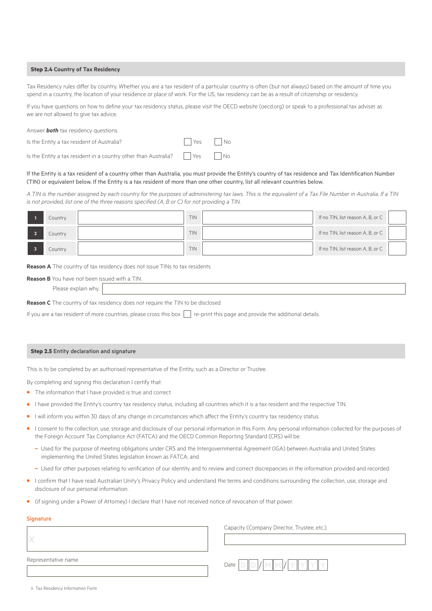## **Step 2.4 Country of Tax Residency**

Tax Residency rules differ by country. Whether you are a tax resident of a particular country is often (but not always) based on the amount of time you spend in a country, the location of your residence or place of work. For the US, tax residency can be as a result of citizenship or residency.

If you have questions on how to define your tax residency status, please visit the OECD website (oecd.org) or speak to a professional tax adviser as we are not allowed to give tax advice.

| Answer <b>both</b> tax residency questions. |                     |  |
|---------------------------------------------|---------------------|--|
| Is the Entity a tax resident of Australia?  | $\Box$ Yes $\Box$ N |  |

Is the Entity a tax resident in a country other than Australia?

| YΑς | - INO |
|-----|-------|
| Yes | No    |

# If the Entity is a tax resident of a country other than Australia, you must provide the Entity's country of tax residence and Tax Identification Number (TIN) or equivalent below. If the Entity is a tax resident of more than one other country, list all relevant countries below.

*A TIN is the number assigned by each country for the purposes of administering tax laws. This is the equivalent of a Tax File Number in Australia. If a TIN is not provided, list one of the three reasons specified (A, B or C) for not providing a TIN.*

| Country | <b>TIN</b> | If no TIN, list reason A, B, or C |  |
|---------|------------|-----------------------------------|--|
| Country | TIN        | If no TIN, list reason A, B, or C |  |
| Country | <b>TIN</b> | If no TIN, list reason A, B, or C |  |

**Reason A** The country of tax residency does not issue TINs to tax residents

| thave not been issued with a TIN.<br><b>Reason B YOU</b> |  |  |  |  |
|----------------------------------------------------------|--|--|--|--|
| WDV.                                                     |  |  |  |  |

**Reason C** The country of tax residency does not require the TIN to be disclosed

If you are a tax resident of more countries, please cross this box  $\Box$  re-print this page and provide the additional details.

## **Step 2.5** Entity declaration and signature

This is to be completed by an authorised representative of the Entity, such as a Director or Trustee.

By completing and signing this declaration I certify that:

- **•** The information that I have provided is true and correct.
- **•** I have provided the Entity's country tax residency status, including all countries which it is a tax resident and the respective TIN.
- **•** I will inform you within 30 days of any change in circumstances which affect the Entity's country tax residency status.
- **•** I consent to the collection, use, storage and disclosure of our personal information in this Form. Any personal information collected for the purposes of the Foreign Account Tax Compliance Act (FATCA) and the OECD Common Reporting Standard (CRS) will be:
	- **–** Used for the purpose of meeting obligations under CRS and the Intergovernmental Agreement (IGA) between Australia and United States implementing the United States legislation known as FATCA; and
	- **–** Used for other purposes relating to verification of our identity and to review and correct discrepancies in the information provided and recorded.
- **•** I confirm that I have read Australian Unity's Privacy Policy and understand the terms and conditions surrounding the collection, use, storage and disclosure of our personal information.
- **•** (if signing under a Power of Attorney) I declare that I have not received notice of revocation of that power.

#### **Signature**

Capacity (Company Director, Trustee, etc.).



|  |  |  | 6 Tax Residency Information Form |  |
|--|--|--|----------------------------------|--|
|--|--|--|----------------------------------|--|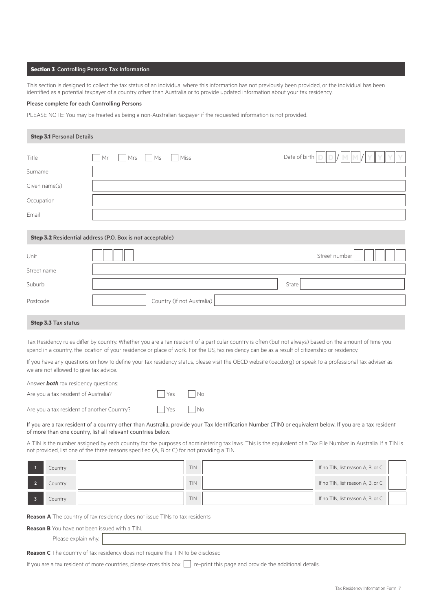## **Section 3** Controlling Persons Tax Information

This section is designed to collect the tax status of an individual where this information has not previously been provided, or the individual has been identified as a potential taxpayer of a country other than Australia or to provide updated information about your tax residency.

## Please complete for each Controlling Persons

PLEASE NOTE: You may be treated as being a non-Australian taxpayer if the requested information is not provided.

| <b>Step 3.1 Personal Details</b> |                                                           |                                                                                                                       |
|----------------------------------|-----------------------------------------------------------|-----------------------------------------------------------------------------------------------------------------------|
| Title                            | Mrs Ms<br>Miss<br>Mr<br>$\mathbf{I}$                      | Date of birth $\vert D \vert \vert D \vert / \vert M \vert \vert M \vert / \vert Y \vert \vert Y \vert \vert Y \vert$ |
| Surname                          |                                                           |                                                                                                                       |
| Given name(s)                    |                                                           |                                                                                                                       |
| Occupation                       |                                                           |                                                                                                                       |
| Email                            |                                                           |                                                                                                                       |
|                                  |                                                           |                                                                                                                       |
|                                  | Step 3.2 Residential address (P.O. Box is not acceptable) |                                                                                                                       |
|                                  |                                                           |                                                                                                                       |

| Unit        |                            |       | Street number |
|-------------|----------------------------|-------|---------------|
| Street name |                            |       |               |
| Suburb      |                            | State |               |
| Postcode    | Country (if not Australia) |       |               |

# **Step 3.3** Tax status

Tax Residency rules differ by country. Whether you are a tax resident of a particular country is often (but not always) based on the amount of time you spend in a country, the location of your residence or place of work. For the US, tax residency can be as a result of citizenship or residency.

If you have any questions on how to define your tax residency status, please visit the OECD website (oecd.org) or speak to a professional tax adviser as we are not allowed to give tax advice.

| Answer <b>both</b> tax residency questions: |                      |  |
|---------------------------------------------|----------------------|--|
| Are you a tax resident of Australia?        | $\Box$ Yes $\Box$ No |  |
| Are you a tax resident of another Country?  | $Yes$ No             |  |

## If you are a tax resident of a country other than Australia, provide your Tax Identification Number (TIN) or equivalent below. If you are a tax resident of more than one country, list all relevant countries below.

A TIN is the number assigned by each country for the purposes of administering tax laws. This is the equivalent of a Tax File Number in Australia. If a TIN is not provided, list one of the three reasons specified (A, B or C) for not providing a TIN.

| Country | TIN | If no TIN, list reason A, B, or C |  |
|---------|-----|-----------------------------------|--|
| Country | TIN | If no TIN, list reason A, B, or C |  |
| Country | TIN | If no TIN, list reason A, B, or C |  |

**Reason A** The country of tax residency does not issue TINs to tax residents

**Reason B** You have not been issued with a TIN.

Please explain why.

**Reason C** The country of tax residency does not require the TIN to be disclosed

If you are a tax resident of more countries, please cross this box  $\Box$  re-print this page and provide the additional details.